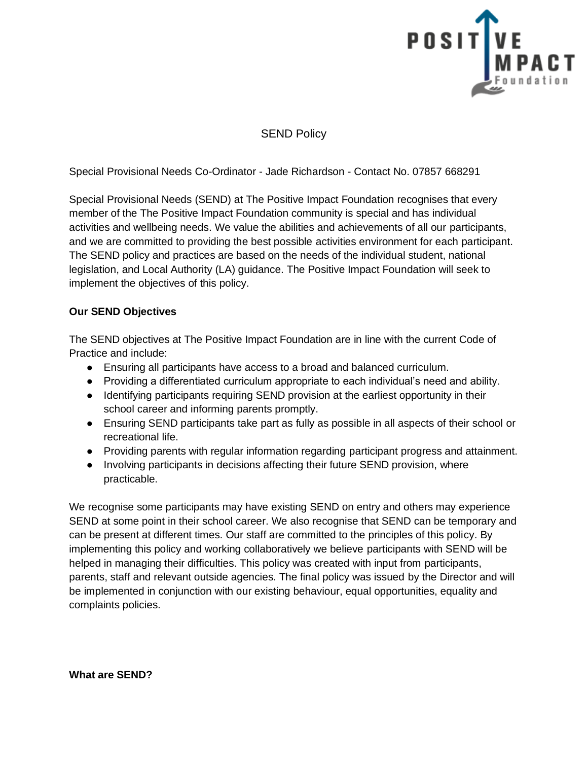

# SEND Policy

Special Provisional Needs Co-Ordinator - Jade Richardson - Contact No. 07857 668291

Special Provisional Needs (SEND) at The Positive Impact Foundation recognises that every member of the The Positive Impact Foundation community is special and has individual activities and wellbeing needs. We value the abilities and achievements of all our participants, and we are committed to providing the best possible activities environment for each participant. The SEND policy and practices are based on the needs of the individual student, national legislation, and Local Authority (LA) guidance. The Positive Impact Foundation will seek to implement the objectives of this policy.

## **Our SEND Objectives**

The SEND objectives at The Positive Impact Foundation are in line with the current Code of Practice and include:

- Ensuring all participants have access to a broad and balanced curriculum.
- Providing a differentiated curriculum appropriate to each individual's need and ability.
- Identifying participants requiring SEND provision at the earliest opportunity in their school career and informing parents promptly.
- Ensuring SEND participants take part as fully as possible in all aspects of their school or recreational life.
- Providing parents with regular information regarding participant progress and attainment.
- Involving participants in decisions affecting their future SEND provision, where practicable.

We recognise some participants may have existing SEND on entry and others may experience SEND at some point in their school career. We also recognise that SEND can be temporary and can be present at different times. Our staff are committed to the principles of this policy. By implementing this policy and working collaboratively we believe participants with SEND will be helped in managing their difficulties. This policy was created with input from participants, parents, staff and relevant outside agencies. The final policy was issued by the Director and will be implemented in conjunction with our existing behaviour, equal opportunities, equality and complaints policies.

**What are SEND?**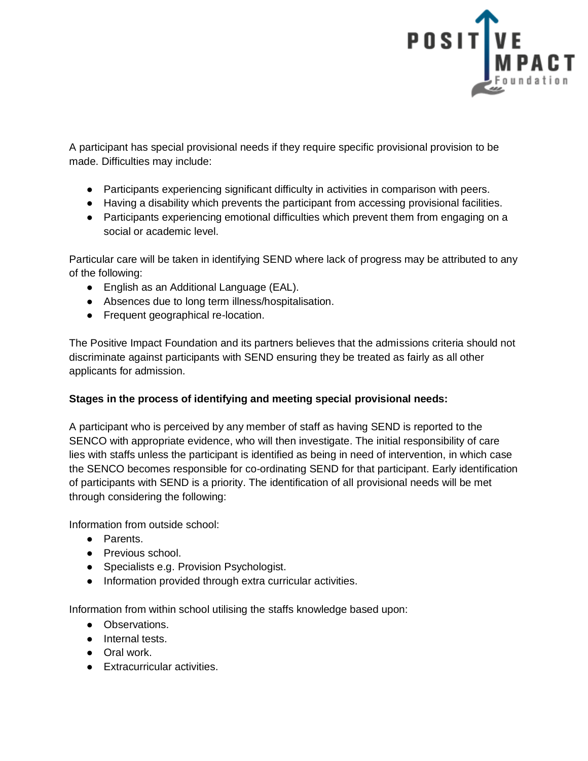

A participant has special provisional needs if they require specific provisional provision to be made. Difficulties may include:

- Participants experiencing significant difficulty in activities in comparison with peers.
- Having a disability which prevents the participant from accessing provisional facilities.
- Participants experiencing emotional difficulties which prevent them from engaging on a social or academic level.

Particular care will be taken in identifying SEND where lack of progress may be attributed to any of the following:

- English as an Additional Language (EAL).
- Absences due to long term illness/hospitalisation.
- Frequent geographical re-location.

The Positive Impact Foundation and its partners believes that the admissions criteria should not discriminate against participants with SEND ensuring they be treated as fairly as all other applicants for admission.

## **Stages in the process of identifying and meeting special provisional needs:**

A participant who is perceived by any member of staff as having SEND is reported to the SENCO with appropriate evidence, who will then investigate. The initial responsibility of care lies with staffs unless the participant is identified as being in need of intervention, in which case the SENCO becomes responsible for co-ordinating SEND for that participant. Early identification of participants with SEND is a priority. The identification of all provisional needs will be met through considering the following:

Information from outside school:

- Parents.
- Previous school.
- Specialists e.g. Provision Psychologist.
- Information provided through extra curricular activities.

Information from within school utilising the staffs knowledge based upon:

- Observations.
- Internal tests.
- Oral work.
- Extracurricular activities.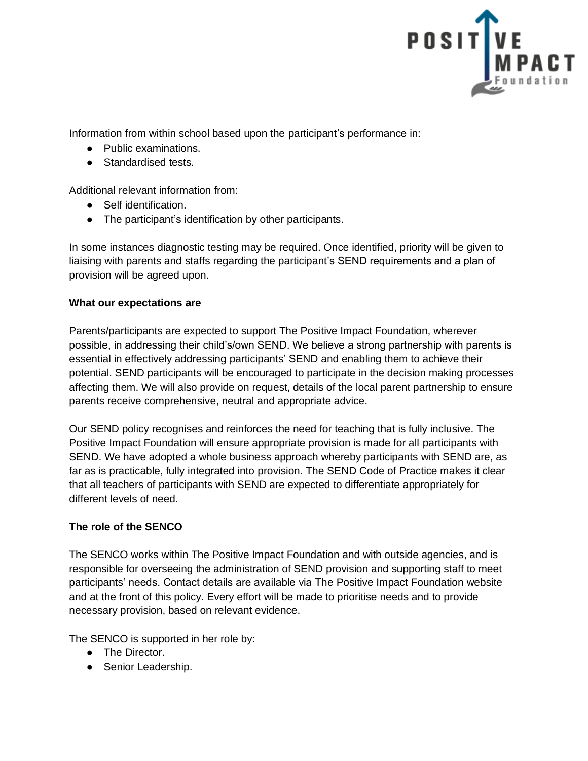

Information from within school based upon the participant's performance in:

- Public examinations.
- Standardised tests

Additional relevant information from:

- Self identification.
- The participant's identification by other participants.

In some instances diagnostic testing may be required. Once identified, priority will be given to liaising with parents and staffs regarding the participant's SEND requirements and a plan of provision will be agreed upon.

## **What our expectations are**

Parents/participants are expected to support The Positive Impact Foundation, wherever possible, in addressing their child's/own SEND. We believe a strong partnership with parents is essential in effectively addressing participants' SEND and enabling them to achieve their potential. SEND participants will be encouraged to participate in the decision making processes affecting them. We will also provide on request, details of the local parent partnership to ensure parents receive comprehensive, neutral and appropriate advice.

Our SEND policy recognises and reinforces the need for teaching that is fully inclusive. The Positive Impact Foundation will ensure appropriate provision is made for all participants with SEND. We have adopted a whole business approach whereby participants with SEND are, as far as is practicable, fully integrated into provision. The SEND Code of Practice makes it clear that all teachers of participants with SEND are expected to differentiate appropriately for different levels of need.

## **The role of the SENCO**

The SENCO works within The Positive Impact Foundation and with outside agencies, and is responsible for overseeing the administration of SEND provision and supporting staff to meet participants' needs. Contact details are available via The Positive Impact Foundation website and at the front of this policy. Every effort will be made to prioritise needs and to provide necessary provision, based on relevant evidence.

The SENCO is supported in her role by:

- The Director.
- Senior Leadership.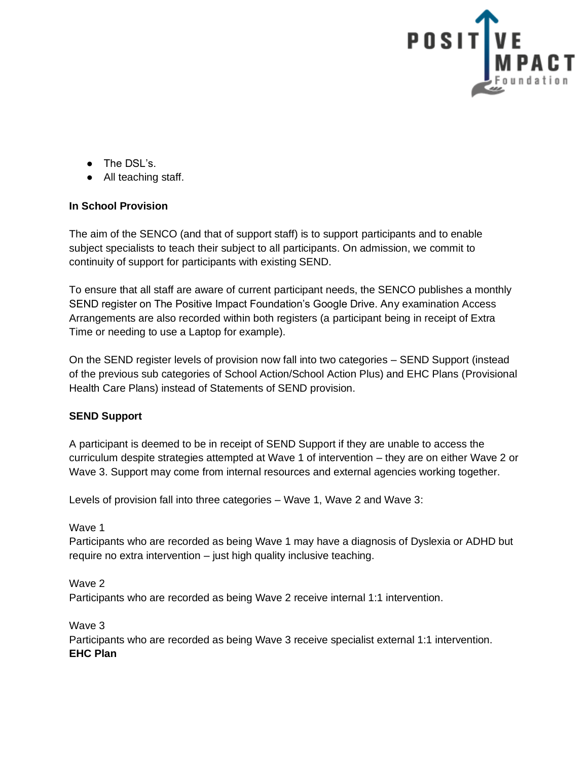

- The DSL's.
- All teaching staff.

## **In School Provision**

The aim of the SENCO (and that of support staff) is to support participants and to enable subject specialists to teach their subject to all participants. On admission, we commit to continuity of support for participants with existing SEND.

To ensure that all staff are aware of current participant needs, the SENCO publishes a monthly SEND register on The Positive Impact Foundation's Google Drive. Any examination Access Arrangements are also recorded within both registers (a participant being in receipt of Extra Time or needing to use a Laptop for example).

On the SEND register levels of provision now fall into two categories – SEND Support (instead of the previous sub categories of School Action/School Action Plus) and EHC Plans (Provisional Health Care Plans) instead of Statements of SEND provision.

## **SEND Support**

A participant is deemed to be in receipt of SEND Support if they are unable to access the curriculum despite strategies attempted at Wave 1 of intervention – they are on either Wave 2 or Wave 3. Support may come from internal resources and external agencies working together.

Levels of provision fall into three categories – Wave 1, Wave 2 and Wave 3:

#### Wave 1

Participants who are recorded as being Wave 1 may have a diagnosis of Dyslexia or ADHD but require no extra intervention – just high quality inclusive teaching.

Wave 2 Participants who are recorded as being Wave 2 receive internal 1:1 intervention.

Wave 3 Participants who are recorded as being Wave 3 receive specialist external 1:1 intervention. **EHC Plan**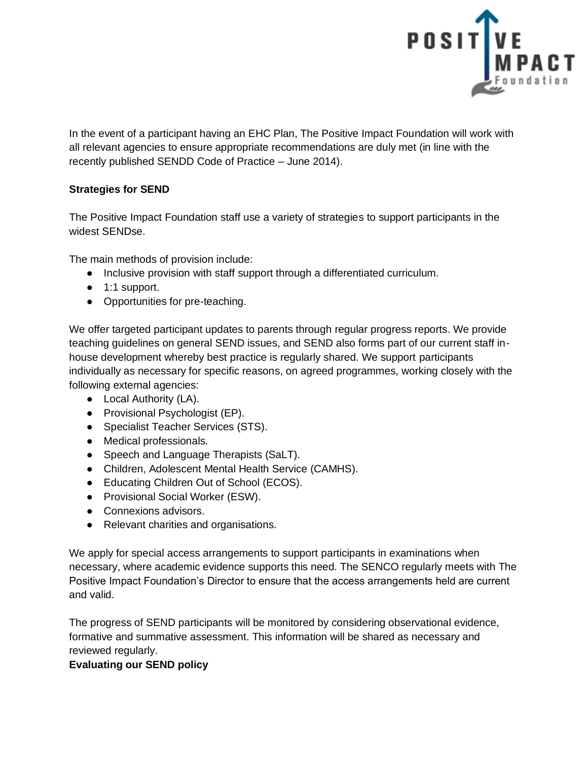

In the event of a participant having an EHC Plan, The Positive Impact Foundation will work with all relevant agencies to ensure appropriate recommendations are duly met (in line with the recently published SENDD Code of Practice – June 2014).

# **Strategies for SEND**

The Positive Impact Foundation staff use a variety of strategies to support participants in the widest SENDse.

The main methods of provision include:

- Inclusive provision with staff support through a differentiated curriculum.
- 1:1 support.
- Opportunities for pre-teaching.

We offer targeted participant updates to parents through regular progress reports. We provide teaching guidelines on general SEND issues, and SEND also forms part of our current staff inhouse development whereby best practice is regularly shared. We support participants individually as necessary for specific reasons, on agreed programmes, working closely with the following external agencies:

- Local Authority (LA).
- Provisional Psychologist (EP).
- Specialist Teacher Services (STS).
- Medical professionals.
- Speech and Language Therapists (SaLT).
- Children, Adolescent Mental Health Service (CAMHS).
- Educating Children Out of School (ECOS).
- Provisional Social Worker (ESW).
- Connexions advisors.
- Relevant charities and organisations.

We apply for special access arrangements to support participants in examinations when necessary, where academic evidence supports this need. The SENCO regularly meets with The Positive Impact Foundation's Director to ensure that the access arrangements held are current and valid.

The progress of SEND participants will be monitored by considering observational evidence, formative and summative assessment. This information will be shared as necessary and reviewed regularly.

## **Evaluating our SEND policy**